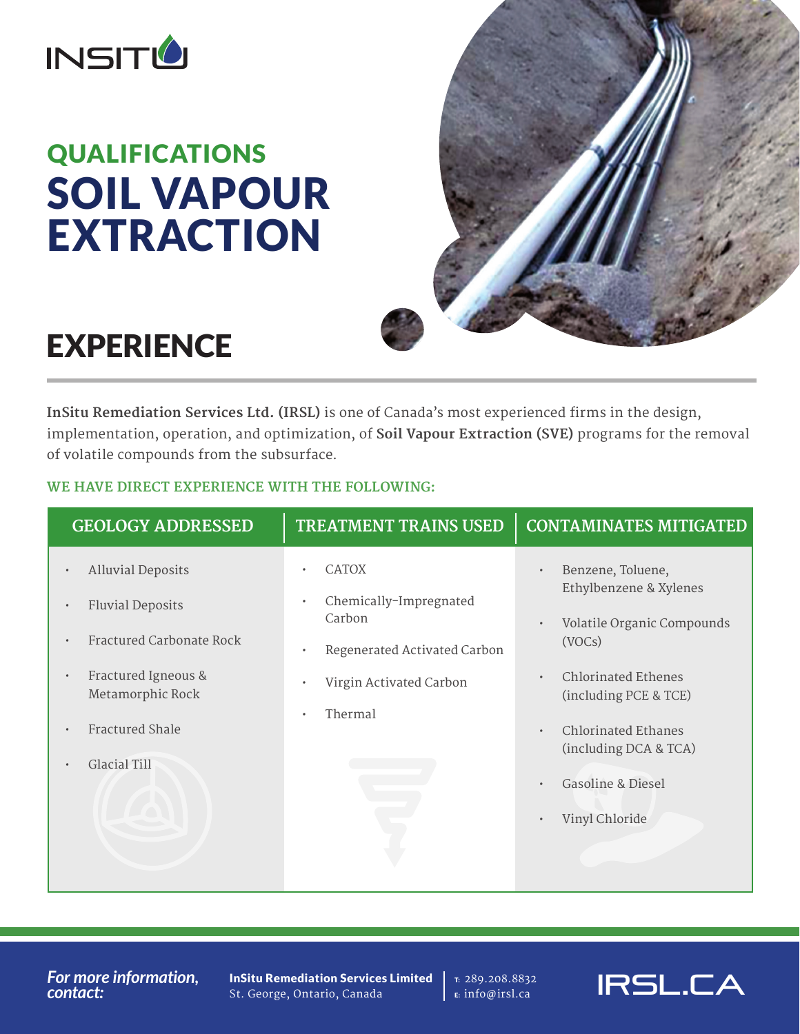

# QUALIFICATIONS SOIL VAPOUR EXTRACTION



## **EXPERIENCE**

**InSitu Remediation Services Ltd. (IRSL)** is one of Canada's most experienced firms in the design, implementation, operation, and optimization, of **Soil Vapour Extraction (SVE)** programs for the removal of volatile compounds from the subsurface.

## **WE HAVE DIRECT EXPERIENCE WITH THE FOLLOWING:**

| <b>GEOLOGY ADDRESSED</b>                             | <b>TREATMENT TRAINS USED</b>                  | <b>CONTAMINATES MITIGATED</b>                       |
|------------------------------------------------------|-----------------------------------------------|-----------------------------------------------------|
| <b>Alluvial Deposits</b><br>$\bullet$                | <b>CATOX</b><br>$\bullet$                     | Benzene, Toluene,<br>$\bullet$                      |
| <b>Fluvial Deposits</b><br>$\bullet$                 | Chemically-Impregnated<br>$\bullet$<br>Carbon | Ethylbenzene & Xylenes                              |
| Fractured Carbonate Rock<br>$\bullet$                | Regenerated Activated Carbon<br>$\bullet$     | Volatile Organic Compounds<br>$\bullet$<br>(VOCs)   |
| Fractured Igneous &<br>$\bullet$<br>Metamorphic Rock | Virgin Activated Carbon<br>$\bullet$          | <b>Chlorinated Ethenes</b><br>(including PCE & TCE) |
| <b>Fractured Shale</b><br>$\bullet$                  | Thermal<br>$\bullet$                          | <b>Chlorinated Ethanes</b><br>$\bullet$             |
| Glacial Till<br>$\bullet$                            |                                               | (including DCA & TCA)                               |
|                                                      |                                               | <b>Gasoline &amp; Diesel</b>                        |
|                                                      |                                               | Vinyl Chloride                                      |
|                                                      |                                               |                                                     |

*For more information, contact:*

InSitu Remediation Services Limited St. George, Ontario, Canada

T: 289.208.8832